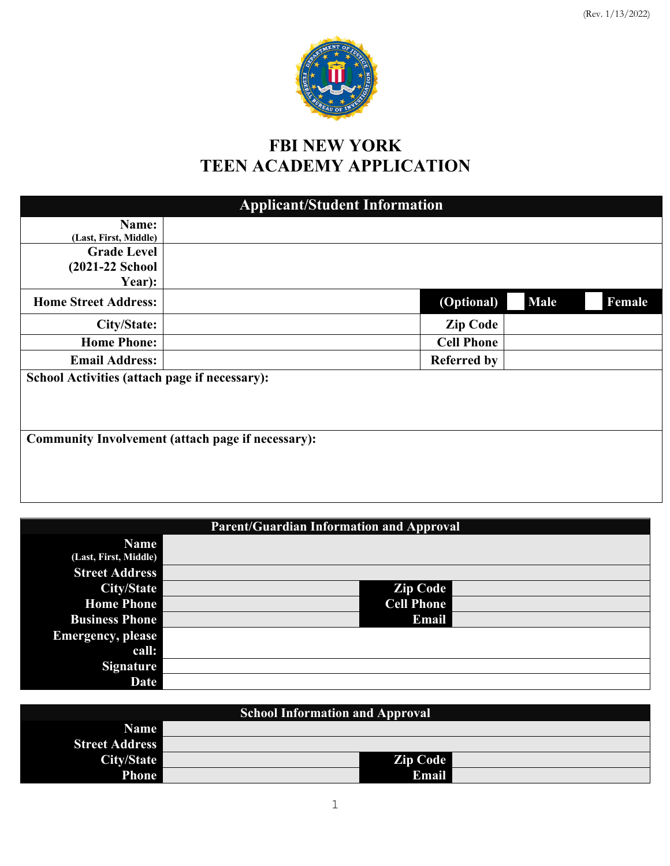

# **FBI NEW YORK TEEN ACADEMY APPLICATION**

| <b>Applicant/Student Information</b>          |                                                          |             |        |  |
|-----------------------------------------------|----------------------------------------------------------|-------------|--------|--|
| Name:                                         |                                                          |             |        |  |
| (Last, First, Middle)                         |                                                          |             |        |  |
| <b>Grade Level</b>                            |                                                          |             |        |  |
| (2021-22 School                               |                                                          |             |        |  |
| Year):                                        |                                                          |             |        |  |
| <b>Home Street Address:</b>                   | (Optional)                                               | <b>Male</b> | Female |  |
| City/State:                                   | <b>Zip Code</b>                                          |             |        |  |
| <b>Home Phone:</b>                            | <b>Cell Phone</b>                                        |             |        |  |
| <b>Email Address:</b>                         | <b>Referred by</b>                                       |             |        |  |
| School Activities (attach page if necessary): |                                                          |             |        |  |
|                                               | <b>Community Involvement (attach page if necessary):</b> |             |        |  |

| <b>Parent/Guardian Information and Approval</b> |  |                   |  |  |
|-------------------------------------------------|--|-------------------|--|--|
| <b>Name</b>                                     |  |                   |  |  |
| (Last, First, Middle)                           |  |                   |  |  |
| <b>Street Address</b>                           |  |                   |  |  |
| <b>City/State</b>                               |  | <b>Zip Code</b>   |  |  |
| <b>Home Phone</b>                               |  | <b>Cell Phone</b> |  |  |
| <b>Business Phone</b>                           |  | Email             |  |  |
| <b>Emergency, please</b>                        |  |                   |  |  |
| call:                                           |  |                   |  |  |
| <b>Signature</b>                                |  |                   |  |  |
| Date                                            |  |                   |  |  |

| <b>School Information and Approval</b> |  |          |  |  |
|----------------------------------------|--|----------|--|--|
| <b>Name</b>                            |  |          |  |  |
| <b>Street Address</b>                  |  |          |  |  |
| City/State                             |  | Zip Code |  |  |
| <b>Phone</b>                           |  | Email    |  |  |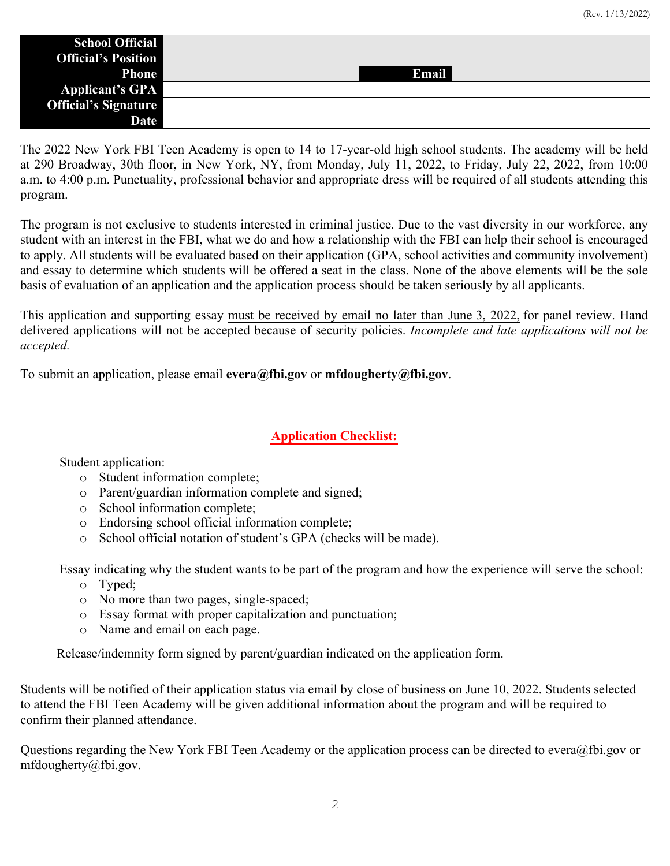| <b>School Official</b>      |       |
|-----------------------------|-------|
| <b>Official's Position</b>  |       |
| <b>Phone</b>                | Email |
| <b>Applicant's GPA</b>      |       |
| <b>Official's Signature</b> |       |
| Date                        |       |

The 2022 New York FBI Teen Academy is open to 14 to 17-year-old high school students. The academy will be held at 290 Broadway, 30th floor, in New York, NY, from Monday, July 11, 2022, to Friday, July 22, 2022, from 10:00 a.m. to 4:00 p.m. Punctuality, professional behavior and appropriate dress will be required of all students attending this program.

The program is not exclusive to students interested in criminal justice. Due to the vast diversity in our workforce, any student with an interest in the FBI, what we do and how a relationship with the FBI can help their school is encouraged to apply. All students will be evaluated based on their application (GPA, school activities and community involvement) and essay to determine which students will be offered a seat in the class. None of the above elements will be the sole basis of evaluation of an application and the application process should be taken seriously by all applicants.

This application and supporting essay must be received by email no later than June 3, 2022, for panel review. Hand delivered applications will not be accepted because of security policies. *Incomplete and late applications will not be accepted.*

To submit an application, please email **evera@fbi.gov** or **mfdougherty@fbi.gov**.

## **Application Checklist:**

Student application:

- o Student information complete;
- o Parent/guardian information complete and signed;
- o School information complete;
- o Endorsing school official information complete;
- o School official notation of student's GPA (checks will be made).

Essay indicating why the student wants to be part of the program and how the experience will serve the school:

- o Typed;
- o No more than two pages, single-spaced;
- o Essay format with proper capitalization and punctuation;
- o Name and email on each page.

Release/indemnity form signed by parent/guardian indicated on the application form.

Students will be notified of their application status via email by close of business on June 10, 2022. Students selected to attend the FBI Teen Academy will be given additional information about the program and will be required to confirm their planned attendance.

Questions regarding the New York FBI Teen Academy or the application process can be directed to evera@fbi.gov or mfdougherty@fbi.gov.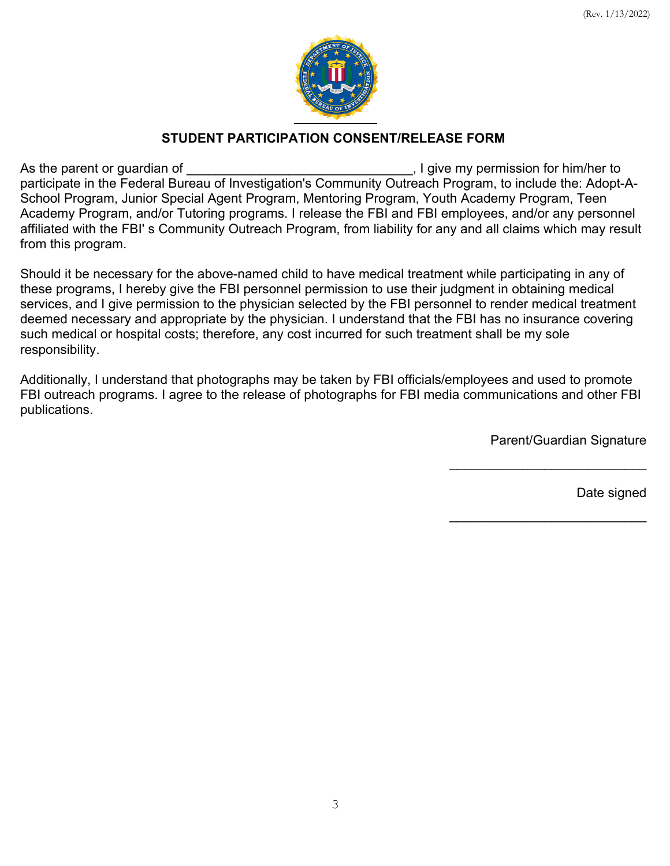

## **STUDENT PARTICIPATION CONSENT/RELEASE FORM**

As the parent or guardian of \_\_\_\_\_\_\_\_\_\_\_\_\_\_\_\_\_\_\_\_\_\_\_\_\_\_\_\_\_\_\_, I give my permission for him/her to participate in the Federal Bureau of Investigation's Community Outreach Program, to include the: Adopt-A-School Program, Junior Special Agent Program, Mentoring Program, Youth Academy Program, Teen Academy Program, and/or Tutoring programs. I release the FBI and FBI employees, and/or any personnel affiliated with the FBI' s Community Outreach Program, from liability for any and all claims which may result from this program.

Should it be necessary for the above-named child to have medical treatment while participating in any of these programs, I hereby give the FBI personnel permission to use their judgment in obtaining medical services, and I give permission to the physician selected by the FBI personnel to render medical treatment deemed necessary and appropriate by the physician. I understand that the FBI has no insurance covering such medical or hospital costs; therefore, any cost incurred for such treatment shall be my sole responsibility.

Additionally, I understand that photographs may be taken by FBI officials/employees and used to promote FBI outreach programs. I agree to the release of photographs for FBI media communications and other FBI publications.

Parent/Guardian Signature

\_\_\_\_\_\_\_\_\_\_\_\_\_\_\_\_\_\_\_\_\_\_\_\_\_\_\_

 $\overline{\phantom{a}}$  , where  $\overline{\phantom{a}}$  , where  $\overline{\phantom{a}}$  , where  $\overline{\phantom{a}}$ 

Date signed